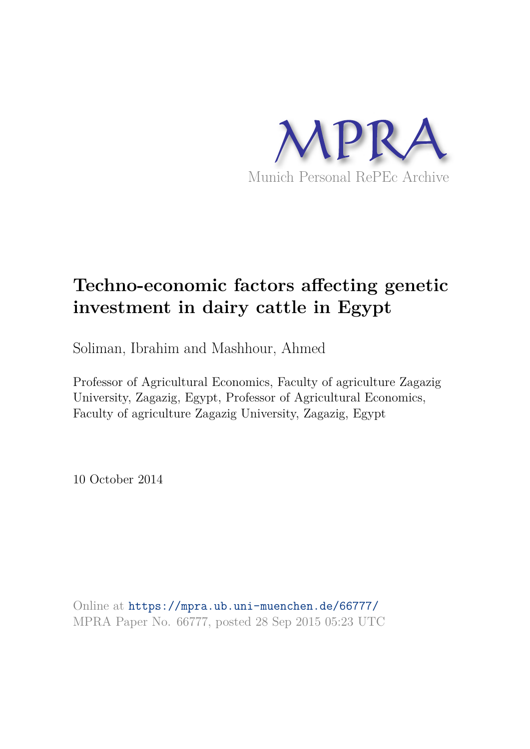

# **Techno-economic factors affecting genetic investment in dairy cattle in Egypt**

Soliman, Ibrahim and Mashhour, Ahmed

Professor of Agricultural Economics, Faculty of agriculture Zagazig University, Zagazig, Egypt, Professor of Agricultural Economics, Faculty of agriculture Zagazig University, Zagazig, Egypt

10 October 2014

Online at https://mpra.ub.uni-muenchen.de/66777/ MPRA Paper No. 66777, posted 28 Sep 2015 05:23 UTC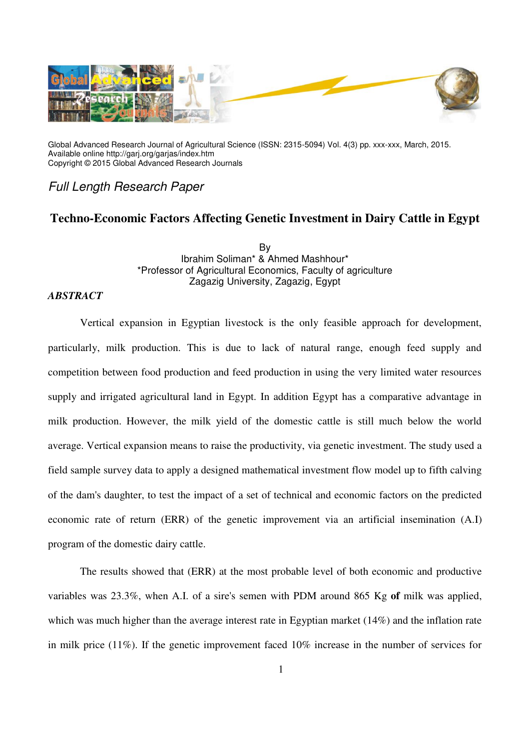

Global Advanced Research Journal of Agricultural Science (ISSN: 2315-5094) Vol. 4(3) pp. xxx-xxx, March, 2015. Available online http://garj.org/garjas/index.htm Copyright © 2015 Global Advanced Research Journals

*Full Length Research Paper*

## **Techno-Economic Factors Affecting Genetic Investment in Dairy Cattle in Egypt**

By Ibrahim Soliman\* & Ahmed Mashhour\* \*Professor of Agricultural Economics, Faculty of agriculture Zagazig University, Zagazig, Egypt

#### *ABSTRACT*

Vertical expansion in Egyptian livestock is the only feasible approach for development, particularly, milk production. This is due to lack of natural range, enough feed supply and competition between food production and feed production in using the very limited water resources supply and irrigated agricultural land in Egypt. In addition Egypt has a comparative advantage in milk production. However, the milk yield of the domestic cattle is still much below the world average. Vertical expansion means to raise the productivity, via genetic investment. The study used a field sample survey data to apply a designed mathematical investment flow model up to fifth calving of the dam's daughter, to test the impact of a set of technical and economic factors on the predicted economic rate of return (ERR) of the genetic improvement via an artificial insemination (A.I) program of the domestic dairy cattle.

The results showed that (ERR) at the most probable level of both economic and productive variables was 23.3%, when A.I. of a sire's semen with PDM around 865 Kg **of** milk was applied, which was much higher than the average interest rate in Egyptian market (14%) and the inflation rate in milk price (11%). If the genetic improvement faced 10% increase in the number of services for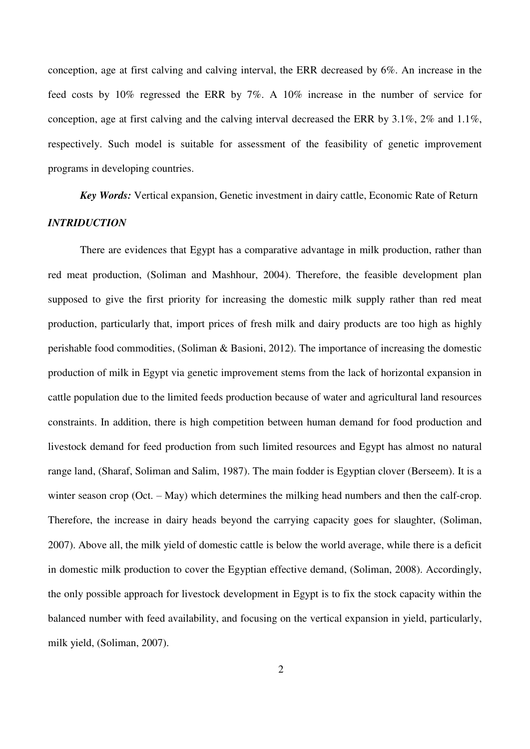conception, age at first calving and calving interval, the ERR decreased by 6%. An increase in the feed costs by 10% regressed the ERR by 7%. A 10% increase in the number of service for conception, age at first calving and the calving interval decreased the ERR by 3.1%, 2% and 1.1%, respectively. Such model is suitable for assessment of the feasibility of genetic improvement programs in developing countries.

*Key Words:* Vertical expansion, Genetic investment in dairy cattle, Economic Rate of Return *INTRIDUCTION* 

There are evidences that Egypt has a comparative advantage in milk production, rather than red meat production, (Soliman and Mashhour, 2004). Therefore, the feasible development plan supposed to give the first priority for increasing the domestic milk supply rather than red meat production, particularly that, import prices of fresh milk and dairy products are too high as highly perishable food commodities, (Soliman & Basioni, 2012). The importance of increasing the domestic production of milk in Egypt via genetic improvement stems from the lack of horizontal expansion in cattle population due to the limited feeds production because of water and agricultural land resources constraints. In addition, there is high competition between human demand for food production and livestock demand for feed production from such limited resources and Egypt has almost no natural range land, (Sharaf, Soliman and Salim, 1987). The main fodder is Egyptian clover (Berseem). It is a winter season crop (Oct. – May) which determines the milking head numbers and then the calf-crop. Therefore, the increase in dairy heads beyond the carrying capacity goes for slaughter, (Soliman, 2007). Above all, the milk yield of domestic cattle is below the world average, while there is a deficit in domestic milk production to cover the Egyptian effective demand, (Soliman, 2008). Accordingly, the only possible approach for livestock development in Egypt is to fix the stock capacity within the balanced number with feed availability, and focusing on the vertical expansion in yield, particularly, milk yield, (Soliman, 2007).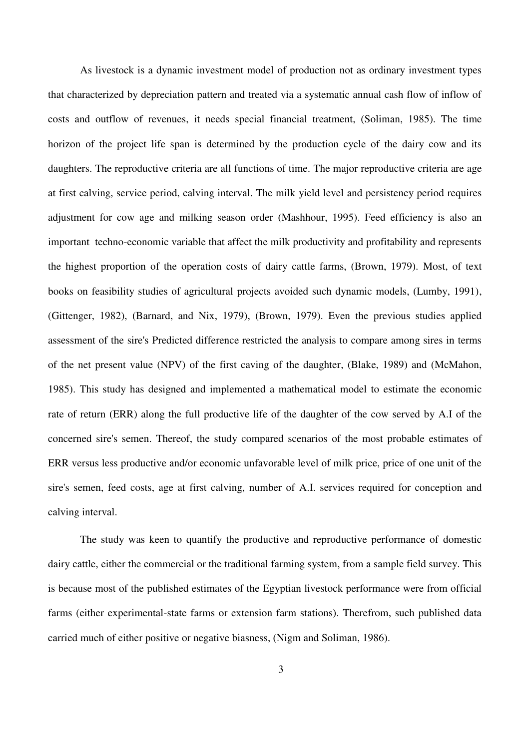As livestock is a dynamic investment model of production not as ordinary investment types that characterized by depreciation pattern and treated via a systematic annual cash flow of inflow of costs and outflow of revenues, it needs special financial treatment, (Soliman, 1985). The time horizon of the project life span is determined by the production cycle of the dairy cow and its daughters. The reproductive criteria are all functions of time. The major reproductive criteria are age at first calving, service period, calving interval. The milk yield level and persistency period requires adjustment for cow age and milking season order (Mashhour, 1995). Feed efficiency is also an important techno-economic variable that affect the milk productivity and profitability and represents the highest proportion of the operation costs of dairy cattle farms, (Brown, 1979). Most, of text books on feasibility studies of agricultural projects avoided such dynamic models, (Lumby, 1991), (Gittenger, 1982), (Barnard, and Nix, 1979), (Brown, 1979). Even the previous studies applied assessment of the sire's Predicted difference restricted the analysis to compare among sires in terms of the net present value (NPV) of the first caving of the daughter, (Blake, 1989) and (McMahon, 1985). This study has designed and implemented a mathematical model to estimate the economic rate of return (ERR) along the full productive life of the daughter of the cow served by A.I of the concerned sire's semen. Thereof, the study compared scenarios of the most probable estimates of ERR versus less productive and/or economic unfavorable level of milk price, price of one unit of the sire's semen, feed costs, age at first calving, number of A.I. services required for conception and calving interval.

The study was keen to quantify the productive and reproductive performance of domestic dairy cattle, either the commercial or the traditional farming system, from a sample field survey. This is because most of the published estimates of the Egyptian livestock performance were from official farms (either experimental-state farms or extension farm stations). Therefrom, such published data carried much of either positive or negative biasness, (Nigm and Soliman, 1986).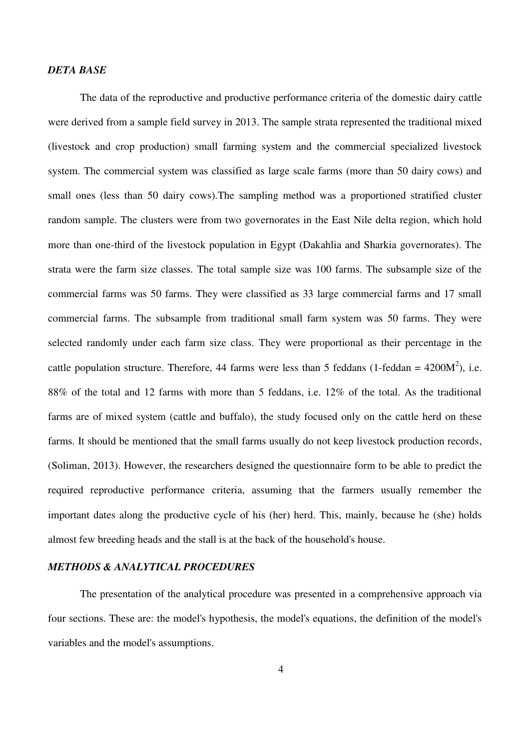#### *DETA BASE*

The data of the reproductive and productive performance criteria of the domestic dairy cattle were derived from a sample field survey in 2013. The sample strata represented the traditional mixed (livestock and crop production) small farming system and the commercial specialized livestock system. The commercial system was classified as large scale farms (more than 50 dairy cows) and small ones (less than 50 dairy cows).The sampling method was a proportioned stratified cluster random sample. The clusters were from two governorates in the East Nile delta region, which hold more than one-third of the livestock population in Egypt (Dakahlia and Sharkia governorates). The strata were the farm size classes. The total sample size was 100 farms. The subsample size of the commercial farms was 50 farms. They were classified as 33 large commercial farms and 17 small commercial farms. The subsample from traditional small farm system was 50 farms. They were selected randomly under each farm size class. They were proportional as their percentage in the cattle population structure. Therefore, 44 farms were less than 5 feddans (1-feddan =  $4200M^2$ ), i.e. 88% of the total and 12 farms with more than 5 feddans, i.e. 12% of the total. As the traditional farms are of mixed system (cattle and buffalo), the study focused only on the cattle herd on these farms. It should be mentioned that the small farms usually do not keep livestock production records, (Soliman, 2013). However, the researchers designed the questionnaire form to be able to predict the required reproductive performance criteria, assuming that the farmers usually remember the important dates along the productive cycle of his (her) herd. This, mainly, because he (she) holds almost few breeding heads and the stall is at the back of the household's house.

#### *METHODS & ANALYTICAL PROCEDURES*

The presentation of the analytical procedure was presented in a comprehensive approach via four sections. These are: the model's hypothesis, the model's equations, the definition of the model's variables and the model's assumptions.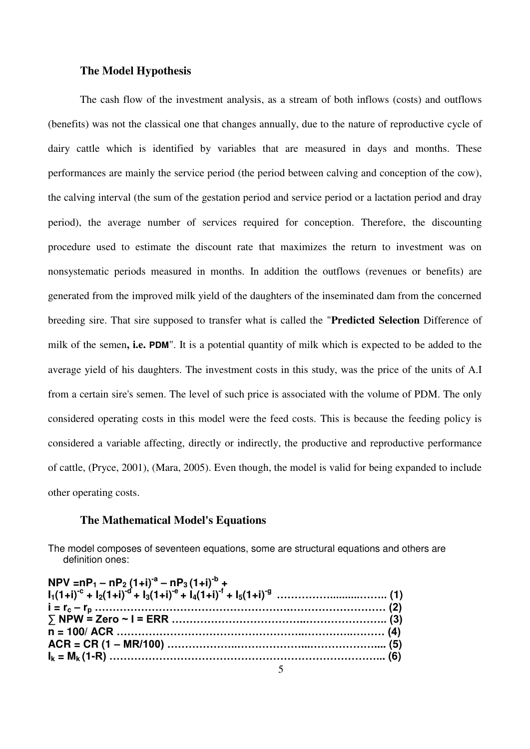#### **The Model Hypothesis**

The cash flow of the investment analysis, as a stream of both inflows (costs) and outflows (benefits) was not the classical one that changes annually, due to the nature of reproductive cycle of dairy cattle which is identified by variables that are measured in days and months. These performances are mainly the service period (the period between calving and conception of the cow), the calving interval (the sum of the gestation period and service period or a lactation period and dray period), the average number of services required for conception. Therefore, the discounting procedure used to estimate the discount rate that maximizes the return to investment was on nonsystematic periods measured in months. In addition the outflows (revenues or benefits) are generated from the improved milk yield of the daughters of the inseminated dam from the concerned breeding sire. That sire supposed to transfer what is called the "**Predicted Selection** Difference of milk of the semen**, i.e. PDM**". It is a potential quantity of milk which is expected to be added to the average yield of his daughters. The investment costs in this study, was the price of the units of A.I from a certain sire's semen. The level of such price is associated with the volume of PDM. The only considered operating costs in this model were the feed costs. This is because the feeding policy is considered a variable affecting, directly or indirectly, the productive and reproductive performance of cattle, (Pryce, 2001), (Mara, 2005). Even though, the model is valid for being expanded to include other operating costs.

#### **The Mathematical Model's Equations**

The model composes of seventeen equations, some are structural equations and others are definition ones: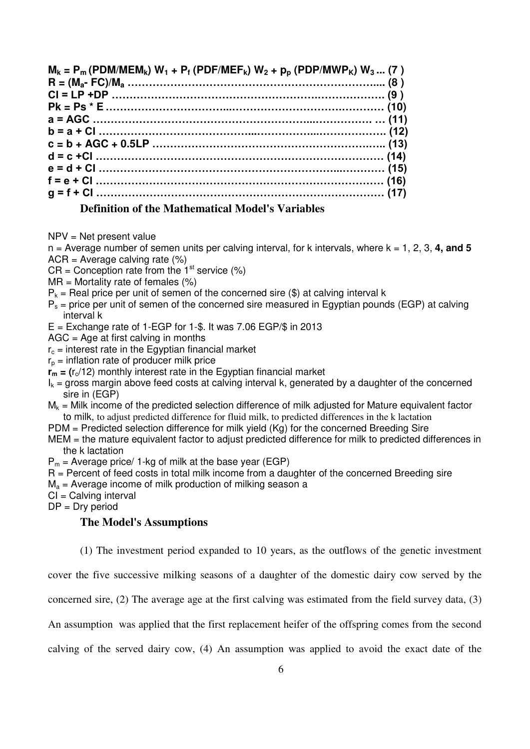| $M_k = P_m$ (PDM/MEM <sub>k</sub> ) $W_1 + P_f$ (PDF/MEF <sub>k</sub> ) $W_2 + p_p$ (PDP/MWP <sub>K</sub> ) $W_3 $ (7) |  |
|------------------------------------------------------------------------------------------------------------------------|--|
|                                                                                                                        |  |
|                                                                                                                        |  |
|                                                                                                                        |  |
|                                                                                                                        |  |
|                                                                                                                        |  |
|                                                                                                                        |  |
|                                                                                                                        |  |
|                                                                                                                        |  |
|                                                                                                                        |  |
|                                                                                                                        |  |
| <u> 1980 - Andrea Santa Alemania de la contrada de la contrada de la contrada de la contrada de la contrada de la</u>  |  |

### **Definition of the Mathematical Model's Variables**

NPV = Net present value

 $n =$  Average number of semen units per calving interval, for k intervals, where  $k = 1, 2, 3, 4$ , and 5  $ACR = Average$  calving rate  $(\%)$ 

- $CR =$  Conception rate from the 1<sup>st</sup> service (%)
- $MR = Mortality$  rate of females  $(%)$
- $P_k$  = Real price per unit of semen of the concerned sire (\$) at calving interval k
- $P_s$  = price per unit of semen of the concerned sire measured in Egyptian pounds (EGP) at calving interval k
- $E =$  Exchange rate of 1-EGP for 1-\$. It was 7.06 EGP/\$ in 2013
- $AGC = Age$  at first calving in months
- $r_c$  = interest rate in the Egyptian financial market
- $r_p$  = inflation rate of producer milk price
- $r_m = (r_c/12)$  monthly interest rate in the Egyptian financial market
- $I_k$  = gross margin above feed costs at calving interval k, generated by a daughter of the concerned sire in (EGP)
- $M_k$  = Milk income of the predicted selection difference of milk adjusted for Mature equivalent factor to milk, to adjust predicted difference for fluid milk, to predicted differences in the k lactation
- PDM = Predicted selection difference for milk yield (Kg) for the concerned Breeding Sire
- MEM = the mature equivalent factor to adjust predicted difference for milk to predicted differences in the k lactation
- $P_m$  = Average price/ 1-kg of milk at the base year (EGP)
- $R =$  Percent of feed costs in total milk income from a daughter of the concerned Breeding sire
- $M_a$  = Average income of milk production of milking season a

CI = Calving interval

 $DP = Dry$  period

#### **The Model's Assumptions**

(1) The investment period expanded to 10 years, as the outflows of the genetic investment

cover the five successive milking seasons of a daughter of the domestic dairy cow served by the

concerned sire, (2) The average age at the first calving was estimated from the field survey data, (3)

An assumption was applied that the first replacement heifer of the offspring comes from the second

calving of the served dairy cow, (4) An assumption was applied to avoid the exact date of the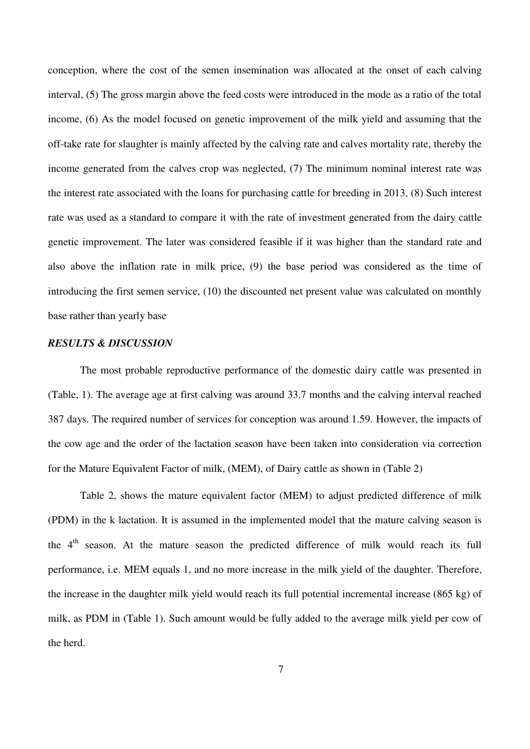conception, where the cost of the semen insemination was allocated at the onset of each calving interval, (5) The gross margin above the feed costs were introduced in the mode as a ratio of the total income, (6) As the model focused on genetic improvement of the milk yield and assuming that the off-take rate for slaughter is mainly affected by the calving rate and calves mortality rate, thereby the income generated from the calves crop was neglected, (7) The minimum nominal interest rate was the interest rate associated with the loans for purchasing cattle for breeding in 2013, (8) Such interest rate was used as a standard to compare it with the rate of investment generated from the dairy cattle genetic improvement. The later was considered feasible if it was higher than the standard rate and also above the inflation rate in milk price, (9) the base period was considered as the time of introducing the first semen service, (10) the discounted net present value was calculated on monthly base rather than yearly base

## *RESULTS & DISCUSSION*

The most probable reproductive performance of the domestic dairy cattle was presented in (Table, 1). The average age at first calving was around 33.7 months and the calving interval reached 387 days. The required number of services for conception was around 1.59. However, the impacts of the cow age and the order of the lactation season have been taken into consideration via correction for the Mature Equivalent Factor of milk, (MEM), of Dairy cattle as shown in (Table 2)

Table 2, shows the mature equivalent factor (MEM) to adjust predicted difference of milk (PDM) in the k lactation. It is assumed in the implemented model that the mature calving season is the 4<sup>th</sup> season. At the mature season the predicted difference of milk would reach its full performance, i.e. MEM equals 1, and no more increase in the milk yield of the daughter. Therefore, the increase in the daughter milk yield would reach its full potential incremental increase (865 kg) of milk, as PDM in (Table 1). Such amount would be fully added to the average milk yield per cow of the herd.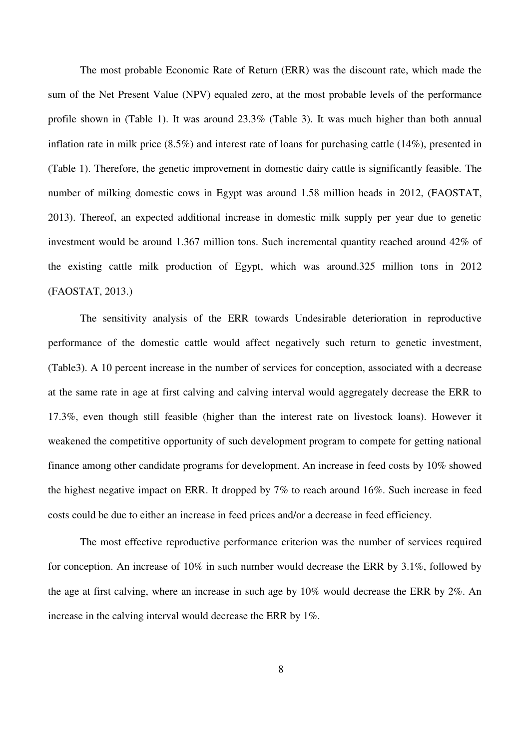The most probable Economic Rate of Return (ERR) was the discount rate, which made the sum of the Net Present Value (NPV) equaled zero, at the most probable levels of the performance profile shown in (Table 1). It was around 23.3% (Table 3). It was much higher than both annual inflation rate in milk price (8.5%) and interest rate of loans for purchasing cattle (14%), presented in (Table 1). Therefore, the genetic improvement in domestic dairy cattle is significantly feasible. The number of milking domestic cows in Egypt was around 1.58 million heads in 2012, (FAOSTAT, 2013). Thereof, an expected additional increase in domestic milk supply per year due to genetic investment would be around 1.367 million tons. Such incremental quantity reached around 42% of the existing cattle milk production of Egypt, which was around.325 million tons in 2012 (FAOSTAT, 2013.)

The sensitivity analysis of the ERR towards Undesirable deterioration in reproductive performance of the domestic cattle would affect negatively such return to genetic investment, (Table3). A 10 percent increase in the number of services for conception, associated with a decrease at the same rate in age at first calving and calving interval would aggregately decrease the ERR to 17.3%, even though still feasible (higher than the interest rate on livestock loans). However it weakened the competitive opportunity of such development program to compete for getting national finance among other candidate programs for development. An increase in feed costs by 10% showed the highest negative impact on ERR. It dropped by 7% to reach around 16%. Such increase in feed costs could be due to either an increase in feed prices and/or a decrease in feed efficiency.

The most effective reproductive performance criterion was the number of services required for conception. An increase of 10% in such number would decrease the ERR by 3.1%, followed by the age at first calving, where an increase in such age by 10% would decrease the ERR by 2%. An increase in the calving interval would decrease the ERR by 1%.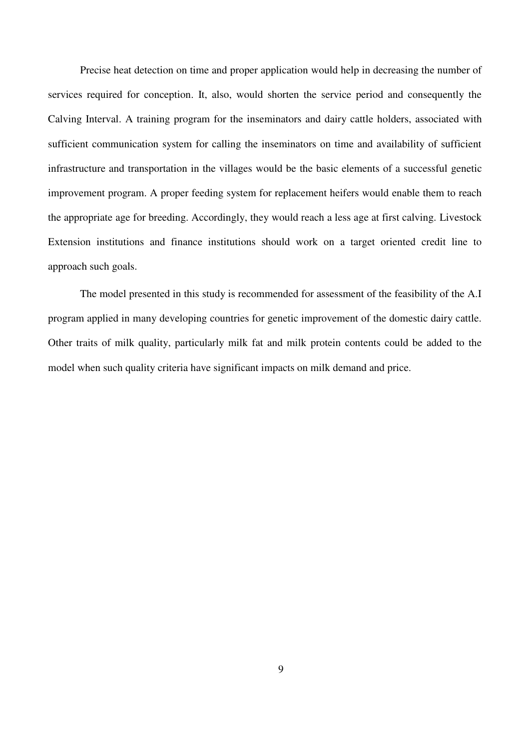Precise heat detection on time and proper application would help in decreasing the number of services required for conception. It, also, would shorten the service period and consequently the Calving Interval. A training program for the inseminators and dairy cattle holders, associated with sufficient communication system for calling the inseminators on time and availability of sufficient infrastructure and transportation in the villages would be the basic elements of a successful genetic improvement program. A proper feeding system for replacement heifers would enable them to reach the appropriate age for breeding. Accordingly, they would reach a less age at first calving. Livestock Extension institutions and finance institutions should work on a target oriented credit line to approach such goals.

The model presented in this study is recommended for assessment of the feasibility of the A.I program applied in many developing countries for genetic improvement of the domestic dairy cattle. Other traits of milk quality, particularly milk fat and milk protein contents could be added to the model when such quality criteria have significant impacts on milk demand and price.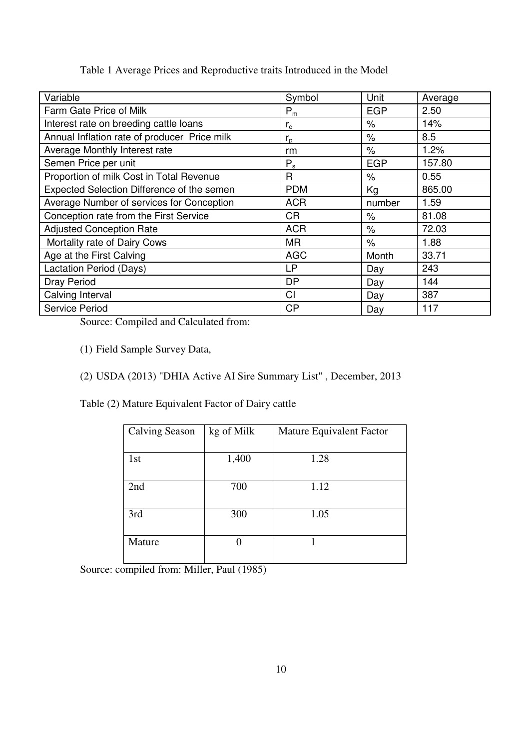| Symbol      | Unit                 | Average |
|-------------|----------------------|---------|
| $P_m$       | <b>EGP</b>           | 2.50    |
| $r_{\rm c}$ | $\%$                 | 14%     |
| $r_{p}$     | $\%$                 | 8.5     |
| rm          | $\%$                 | 1.2%    |
| $P_s$       | <b>EGP</b>           | 157.80  |
| R           | $\%$                 | 0.55    |
| <b>PDM</b>  | Kg                   | 865.00  |
| <b>ACR</b>  | number               | 1.59    |
| <b>CR</b>   | $\frac{1}{\sqrt{2}}$ | 81.08   |
| <b>ACR</b>  | $\%$                 | 72.03   |
| <b>MR</b>   | $\%$                 | 1.88    |
| <b>AGC</b>  | Month                | 33.71   |
| <b>LP</b>   | Day                  | 243     |
| <b>DP</b>   | Day                  | 144     |
| CI          | Day                  | 387     |
| CP          | Day                  | 117     |
|             |                      |         |

Table 1 Average Prices and Reproductive traits Introduced in the Model

Source: Compiled and Calculated from:

(1) Field Sample Survey Data,

(2) USDA (2013) "DHIA Active AI Sire Summary List" , December, 2013

Table (2) Mature Equivalent Factor of Dairy cattle

| <b>Calving Season</b> | kg of Milk | Mature Equivalent Factor |  |
|-----------------------|------------|--------------------------|--|
|                       |            |                          |  |
| 1st                   | 1,400      | 1.28                     |  |
|                       |            |                          |  |
| 2nd                   | 700        | 1.12                     |  |
|                       |            |                          |  |
| 3rd                   | 300        | 1.05                     |  |
|                       |            |                          |  |
| Mature                | 0          |                          |  |
|                       |            |                          |  |

Source: compiled from: Miller, Paul (1985)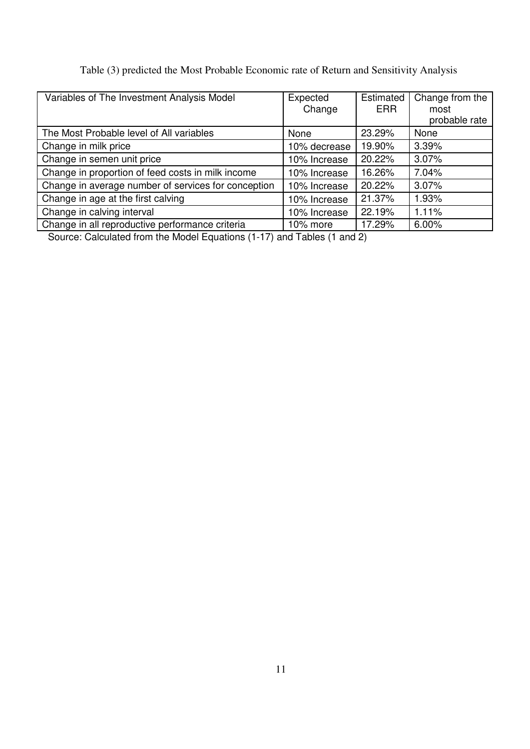| Table (3) predicted the Most Probable Economic rate of Return and Sensitivity Analysis |
|----------------------------------------------------------------------------------------|
|----------------------------------------------------------------------------------------|

| Variables of The Investment Analysis Model          | Expected<br>Change | Estimated<br><b>ERR</b> | Change from the<br>most<br>probable rate |
|-----------------------------------------------------|--------------------|-------------------------|------------------------------------------|
| The Most Probable level of All variables            | None               | 23.29%                  | None                                     |
| Change in milk price                                | 10% decrease       | 19.90%                  | 3.39%                                    |
| Change in semen unit price                          | 10% Increase       | 20.22%                  | 3.07%                                    |
| Change in proportion of feed costs in milk income   | 10% Increase       | 16.26%                  | 7.04%                                    |
| Change in average number of services for conception | 10% Increase       | 20.22%                  | 3.07%                                    |
| Change in age at the first calving                  | 10% Increase       | 21.37%                  | 1.93%                                    |
| Change in calving interval                          | 10% Increase       | 22.19%                  | 1.11%                                    |
| Change in all reproductive performance criteria     | 10% more           | 17.29%                  | 6.00%                                    |

Source: Calculated from the Model Equations (1-17) and Tables (1 and 2)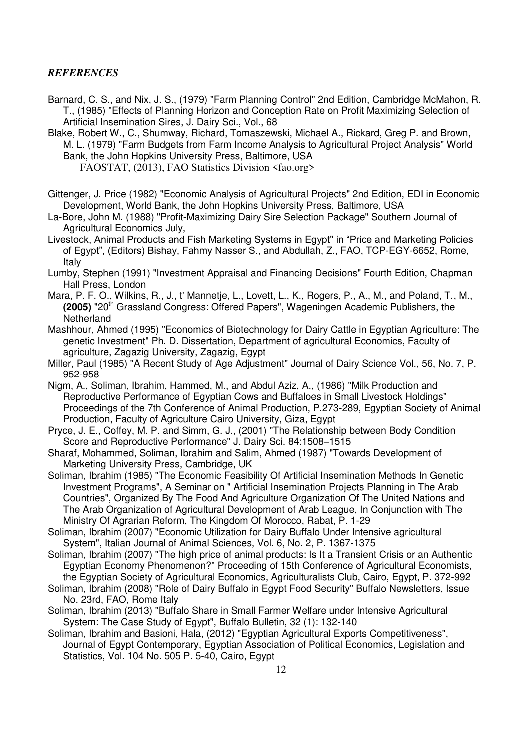## *REFERENCES*

- Barnard, C. S., and Nix, J. S., (1979) "Farm Planning Control" 2nd Edition, Cambridge McMahon, R. T., (1985) "Effects of Planning Horizon and Conception Rate on Profit Maximizing Selection of Artificial Insemination Sires, J. Dairy Sci., Vol., 68
- Blake, Robert W., C., Shumway, Richard, Tomaszewski, Michael A., Rickard, Greg P. and Brown, M. L. (1979) "Farm Budgets from Farm Income Analysis to Agricultural Project Analysis" World Bank, the John Hopkins University Press, Baltimore, USA FAOSTAT, (2013), FAO Statistics Division <fao.org>
- Gittenger, J. Price (1982) "Economic Analysis of Agricultural Projects" 2nd Edition, EDI in Economic Development, World Bank, the John Hopkins University Press, Baltimore, USA

La-Bore, John M. (1988) "Profit-Maximizing Dairy Sire Selection Package" Southern Journal of Agricultural Economics July,

Livestock, Animal Products and Fish Marketing Systems in Egypt" in "Price and Marketing Policies of Egypt", (Editors) Bishay, Fahmy Nasser S., and Abdullah, Z., FAO, TCP-EGY-6652, Rome, Italy

- Lumby, Stephen (1991) "Investment Appraisal and Financing Decisions" Fourth Edition, Chapman Hall Press, London
- Mara, P. F. O., Wilkins, R., J., t' Mannetje, L., Lovett, L., K., Rogers, P., A., M., and Poland, T., M., **(2005)** "20<sup>th</sup> Grassland Congress: Offered Papers", Wageningen Academic Publishers, the **Netherland**
- Mashhour, Ahmed (1995) "Economics of Biotechnology for Dairy Cattle in Egyptian Agriculture: The genetic Investment" Ph. D. Dissertation, Department of agricultural Economics, Faculty of agriculture, Zagazig University, Zagazig, Egypt
- Miller, Paul (1985) "A Recent Study of Age Adjustment" Journal of Dairy Science Vol., 56, No. 7, P. 952-958
- Nigm, A., Soliman, Ibrahim, Hammed, M., and Abdul Aziz, A., (1986) "Milk Production and Reproductive Performance of Egyptian Cows and Buffaloes in Small Livestock Holdings" Proceedings of the 7th Conference of Animal Production, P.273-289, Egyptian Society of Animal Production, Faculty of Agriculture Cairo University, Giza, Egypt
- Pryce, J. E., Coffey, M. P. and Simm, G. J., (2001) "The Relationship between Body Condition Score and Reproductive Performance" J. Dairy Sci. 84:1508–1515
- Sharaf, Mohammed, Soliman, Ibrahim and Salim, Ahmed (1987) "Towards Development of Marketing University Press, Cambridge, UK
- Soliman, Ibrahim (1985) "The Economic Feasibility Of Artificial Insemination Methods In Genetic Investment Programs", A Seminar on " Artificial Insemination Projects Planning in The Arab Countries", Organized By The Food And Agriculture Organization Of The United Nations and The Arab Organization of Agricultural Development of Arab League, In Conjunction with The Ministry Of Agrarian Reform, The Kingdom Of Morocco, Rabat, P. 1-29
- Soliman, Ibrahim (2007) "Economic Utilization for Dairy Buffalo Under Intensive agricultural System", Italian Journal of Animal Sciences, Vol. 6, No. 2, P. 1367-1375
- Soliman, Ibrahim (2007) "The high price of animal products: Is It a Transient Crisis or an Authentic Egyptian Economy Phenomenon?" Proceeding of 15th Conference of Agricultural Economists, the Egyptian Society of Agricultural Economics, Agriculturalists Club, Cairo, Egypt, P. 372-992
- Soliman, Ibrahim (2008) "Role of Dairy Buffalo in Egypt Food Security" Buffalo Newsletters, Issue No. 23rd, FAO, Rome Italy
- Soliman, Ibrahim (2013) "Buffalo Share in Small Farmer Welfare under Intensive Agricultural System: The Case Study of Egypt", Buffalo Bulletin, 32 (1): 132-140
- Soliman, Ibrahim and Basioni, Hala, (2012) "Egyptian Agricultural Exports Competitiveness", Journal of Egypt Contemporary, Egyptian Association of Political Economics, Legislation and Statistics, Vol. 104 No. 505 P. 5-40, Cairo, Egypt